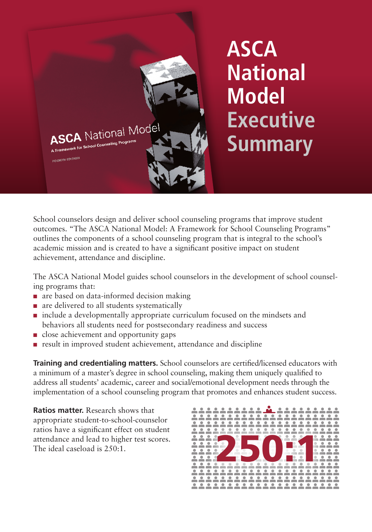

# **ASCA National Model Executive Summary**

School counselors design and deliver school counseling programs that improve student outcomes. "The ASCA National Model: A Framework for School Counseling Programs" outlines the components of a school counseling program that is integral to the school's academic mission and is created to have a significant positive impact on student achievement, attendance and discipline.

The ASCA National Model guides school counselors in the development of school counseling programs that:

- are based on data-informed decision making
- are delivered to all students systematically
- include a developmentally appropriate curriculum focused on the mindsets and behaviors all students need for postsecondary readiness and success
- close achievement and opportunity gaps
- result in improved student achievement, attendance and discipline

**Training and credentialing matters.** School counselors are certified/licensed educators with a minimum of a master's degree in school counseling, making them uniquely qualified to address all students' academic, career and social/emotional development needs through the implementation of a school counseling program that promotes and enhances student success.

**Ratios matter.** Research shows that appropriate student-to-school-counselor ratios have a significant effect on student attendance and lead to higher test scores.

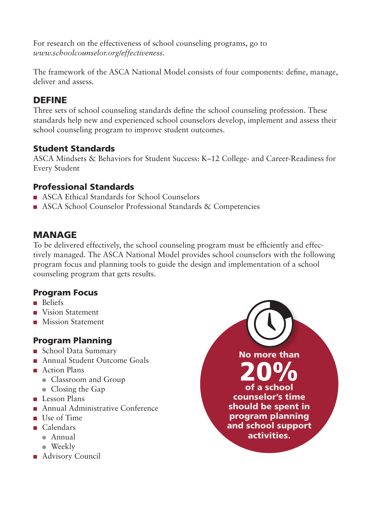For research on the effectiveness of school counseling programs, go to *www.schoolcounselor.org/effectiveness*.

The framework of the ASCA National Model consists of four components: define, manage, deliver and assess.

# DEFINE

Three sets of school counseling standards define the school counseling profession. These standards help new and experienced school counselors develop, implement and assess their school counseling program to improve student outcomes.

## Student Standards

ASCA Mindsets & Behaviors for Student Success: K–12 College- and Career-Readiness for Every Student

## Professional Standards

- ASCA Ethical Standards for School Counselors
- ASCA School Counselor Professional Standards & Competencies

## **MANAGE**

To be delivered effectively, the school counseling program must be efficiently and effectively managed. The ASCA National Model provides school counselors with the following program focus and planning tools to guide the design and implementation of a school counseling program that gets results.

## Program Focus

- Beliefs
- Vision Statement
- Mission Statement

# Program Planning

- School Data Summary
- Annual Student Outcome Goals
- Action Plans
	- Classroom and Group
	- Closing the Gap
- Lesson Plans
- Annual Administrative Conference
- Use of Time
- Calendars
	- <sup>l</sup> Annual
	- $\bullet$  Weekly
- Advisory Council

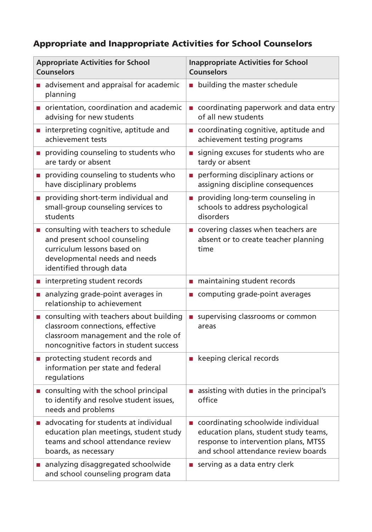# Appropriate and Inappropriate Activities for School Counselors

| <b>Appropriate Activities for School</b><br><b>Counselors</b>                                                                                                    | <b>Inappropriate Activities for School</b><br><b>Counselors</b>                                                                                            |
|------------------------------------------------------------------------------------------------------------------------------------------------------------------|------------------------------------------------------------------------------------------------------------------------------------------------------------|
| advisement and appraisal for academic<br>planning                                                                                                                | <b>Delay building the master schedule</b>                                                                                                                  |
| orientation, coordination and academic<br>advising for new students                                                                                              | coordinating paperwork and data entry<br>of all new students                                                                                               |
| interpreting cognitive, aptitude and<br>achievement tests                                                                                                        | coordinating cognitive, aptitude and<br>achievement testing programs                                                                                       |
| providing counseling to students who<br>are tardy or absent                                                                                                      | signing excuses for students who are<br>tardy or absent                                                                                                    |
| providing counseling to students who<br>have disciplinary problems                                                                                               | performing disciplinary actions or<br>assigning discipline consequences                                                                                    |
| providing short-term individual and<br>small-group counseling services to<br>students                                                                            | providing long-term counseling in<br>schools to address psychological<br>disorders                                                                         |
| consulting with teachers to schedule<br>and present school counseling<br>curriculum lessons based on<br>developmental needs and needs<br>identified through data | covering classes when teachers are<br>absent or to create teacher planning<br>time                                                                         |
| interpreting student records                                                                                                                                     | maintaining student records                                                                                                                                |
| analyzing grade-point averages in<br>relationship to achievement                                                                                                 | computing grade-point averages                                                                                                                             |
| consulting with teachers about building<br>classroom connections, effective<br>classroom management and the role of<br>noncognitive factors in student success   | supervising classrooms or common<br><b>College</b><br>areas                                                                                                |
| protecting student records and<br>information per state and federal<br>regulations                                                                               | keeping clerical records                                                                                                                                   |
| consulting with the school principal<br>to identify and resolve student issues,<br>needs and problems                                                            | assisting with duties in the principal's<br>office                                                                                                         |
| advocating for students at individual<br>education plan meetings, student study<br>teams and school attendance review<br>boards, as necessary                    | coordinating schoolwide individual<br>education plans, student study teams,<br>response to intervention plans, MTSS<br>and school attendance review boards |
| analyzing disaggregated schoolwide<br>and school counseling program data                                                                                         | serving as a data entry clerk                                                                                                                              |